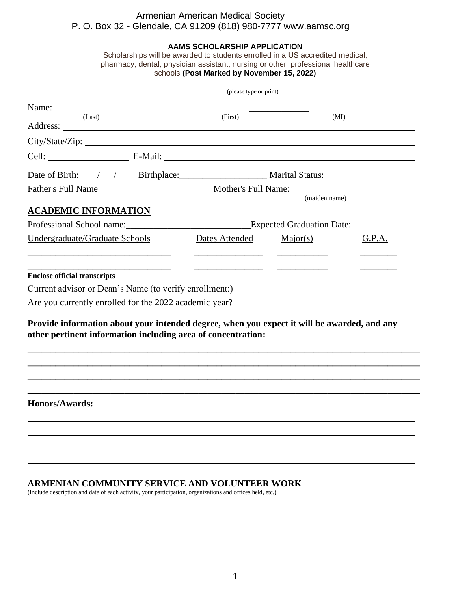# Armenian American Medical Society P. O. Box 32 - Glendale, CA 91209 (818) 980-7777 www.aamsc.org

#### **AAMS SCHOLARSHIP APPLICATION**

Scholarships will be awarded to students enrolled in a US accredited medical, pharmacy, dental, physician assistant, nursing or other professional healthcare schools **(Post Marked by November 15, 2022)**

|                                                                                             | (please type or print) |                                                     |               |        |  |
|---------------------------------------------------------------------------------------------|------------------------|-----------------------------------------------------|---------------|--------|--|
| Name:                                                                                       |                        |                                                     |               |        |  |
| (Last)                                                                                      |                        | (First)                                             |               | (MI)   |  |
|                                                                                             |                        |                                                     |               |        |  |
|                                                                                             |                        |                                                     |               |        |  |
|                                                                                             |                        |                                                     |               |        |  |
|                                                                                             |                        |                                                     |               |        |  |
|                                                                                             |                        |                                                     | (maiden name) |        |  |
| <b>ACADEMIC INFORMATION</b>                                                                 |                        |                                                     |               |        |  |
|                                                                                             |                        | Professional School name: Expected Graduation Date: |               |        |  |
| Undergraduate/Graduate Schools                                                              |                        | Dates Attended                                      | Major(s)      | G.P.A. |  |
|                                                                                             |                        |                                                     |               |        |  |
|                                                                                             |                        |                                                     |               |        |  |
| <b>Enclose official transcripts</b>                                                         |                        |                                                     |               |        |  |
|                                                                                             |                        |                                                     |               |        |  |
|                                                                                             |                        |                                                     |               |        |  |
|                                                                                             |                        |                                                     |               |        |  |
| Provide information about your intended degree, when you expect it will be awarded, and any |                        |                                                     |               |        |  |
| other pertinent information including area of concentration:                                |                        |                                                     |               |        |  |
|                                                                                             |                        |                                                     |               |        |  |
|                                                                                             |                        |                                                     |               |        |  |
|                                                                                             |                        |                                                     |               |        |  |
|                                                                                             |                        |                                                     |               |        |  |
| Honors/Awards:                                                                              |                        |                                                     |               |        |  |

#### **ARMENIAN COMMUNITY SERVICE AND VOLUNTEER WORK**

(Include description and date of each activity, your participation, organizations and offices held, etc.)